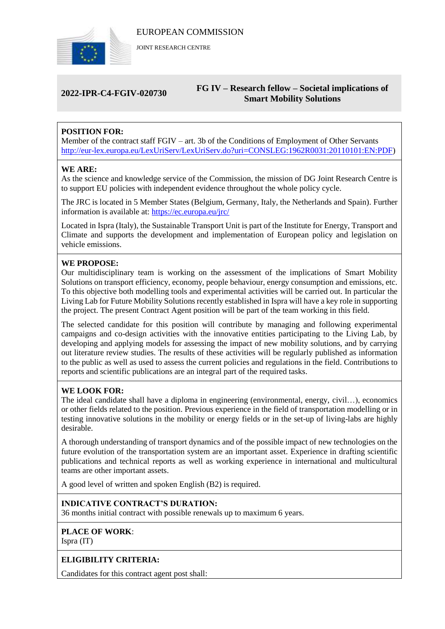

JOINT RESEARCH CENTRE

### **2022-IPR-C4-FGIV-020730 FG IV – Research fellow – Societal implications of Smart Mobility Solutions**

## **POSITION FOR:**

Member of the contract staff FGIV – art. 3b of the Conditions of Employment of Other Servants [http://eur-lex.europa.eu/LexUriServ/LexUriServ.do?uri=CONSLEG:1962R0031:20110101:EN:PDF\)](http://eur-lex.europa.eu/LexUriServ/LexUriServ.do?uri=CONSLEG:1962R0031:20110101:EN:PDF)

#### **WE ARE:**

As the science and knowledge service of the Commission, the mission of DG Joint Research Centre is to support EU policies with independent evidence throughout the whole policy cycle.

The JRC is located in 5 Member States (Belgium, Germany, Italy, the Netherlands and Spain). Further information is available at: <https://ec.europa.eu/jrc/>

Located in Ispra (Italy), the Sustainable Transport Unit is part of the Institute for Energy, Transport and Climate and supports the development and implementation of European policy and legislation on vehicle emissions.

#### **WE PROPOSE:**

Our multidisciplinary team is working on the assessment of the implications of Smart Mobility Solutions on transport efficiency, economy, people behaviour, energy consumption and emissions, etc. To this objective both modelling tools and experimental activities will be carried out. In particular the Living Lab for Future Mobility Solutions recently established in Ispra will have a key role in supporting the project. The present Contract Agent position will be part of the team working in this field.

The selected candidate for this position will contribute by managing and following experimental campaigns and co-design activities with the innovative entities participating to the Living Lab, by developing and applying models for assessing the impact of new mobility solutions, and by carrying out literature review studies. The results of these activities will be regularly published as information to the public as well as used to assess the current policies and regulations in the field. Contributions to reports and scientific publications are an integral part of the required tasks.

#### **WE LOOK FOR:**

The ideal candidate shall have a diploma in engineering (environmental, energy, civil…), economics or other fields related to the position. Previous experience in the field of transportation modelling or in testing innovative solutions in the mobility or energy fields or in the set-up of living-labs are highly desirable.

A thorough understanding of transport dynamics and of the possible impact of new technologies on the future evolution of the transportation system are an important asset. Experience in drafting scientific publications and technical reports as well as working experience in international and multicultural teams are other important assets.

A good level of written and spoken English (B2) is required.

#### **INDICATIVE CONTRACT'S DURATION:**

36 months initial contract with possible renewals up to maximum 6 years.

# **PLACE OF WORK**:

Ispra (IT)

#### **ELIGIBILITY CRITERIA:**

Candidates for this contract agent post shall: